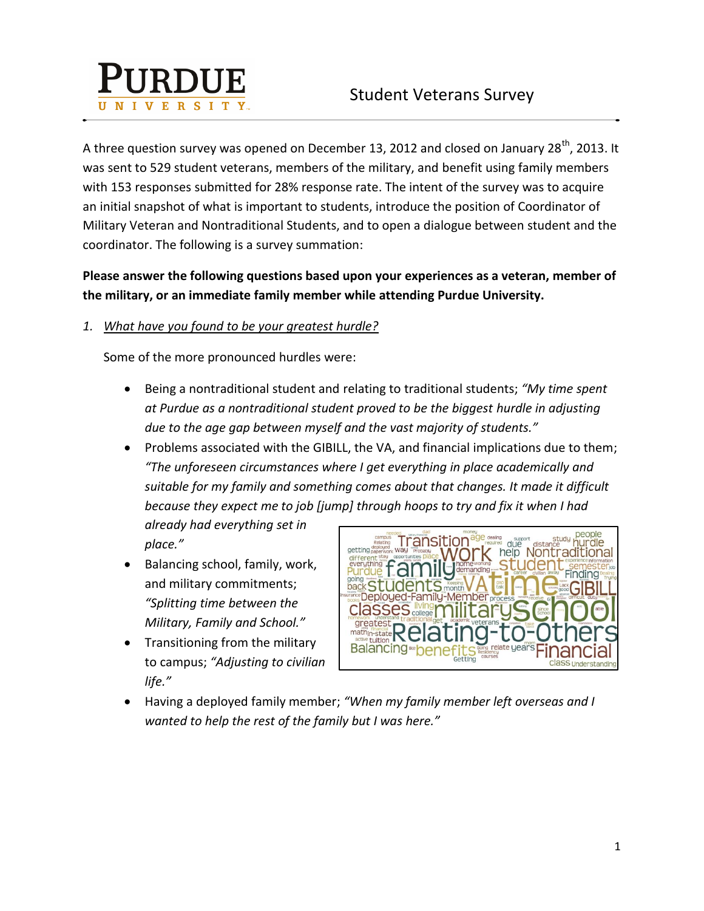

A three question survey was opened on December 13, 2012 and closed on January 28<sup>th</sup>, 2013. It was sent to 529 student veterans, members of the military, and benefit using family members with 153 responses submitted for 28% response rate. The intent of the survey was to acquire an initial snapshot of what is important to students, introduce the position of Coordinator of Military Veteran and Nontraditional Students, and to open a dialogue between student and the coordinator. The following is a survey summation:

**Please answer the following questions based upon your experiences as a veteran, member of the military, or an immediate family member while attending Purdue University.**

## *1. What have you found to be your greatest hurdle?*

Some of the more pronounced hurdles were:

- Being a nontraditional student and relating to traditional students; *"My time spent at Purdue as a nontraditional student proved to be the biggest hurdle in adjusting due to the age gap between myself and the vast majority of students."*
- Problems associated with the GIBILL, the VA, and financial implications due to them; *"The unforeseen circumstances where I get everything in place academically and suitable for my family and something comes about that changes. It made it difficult because they expect me to job [jump] through hoops to try and fix it when I had*

*already had everything set in place."*

- Balancing school, family, work, and military commitments; *"Splitting time between the Military, Family and School."*
- Transitioning from the military to campus; *"Adjusting to civilian life."*



 Having a deployed family member; *"When my family member left overseas and I wanted to help the rest of the family but I was here."*